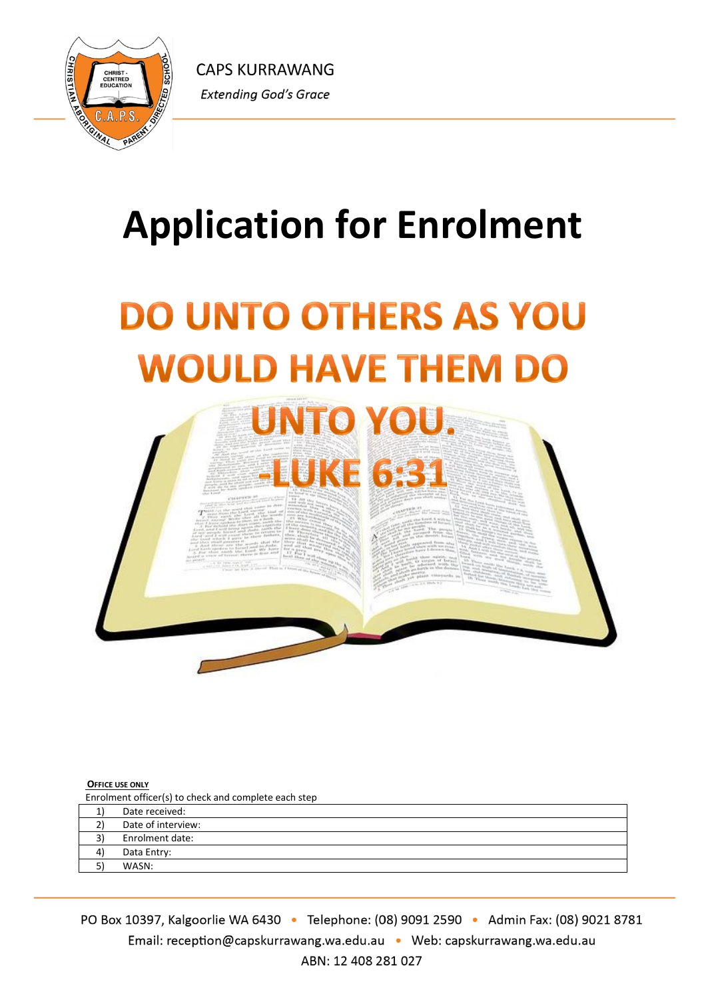

# **Application for Enrolment**

# **DO UNTO OTHERS AS YOU WOULD HAVE THEM DO**



# **OFFICE USE ONLY**

Enrolment officer(s) to check and complete each step

| Date received:     |
|--------------------|
| Date of interview: |
| Enrolment date:    |
| Data Entry:        |
| WASN:              |
|                    |

PO Box 10397, Kalgoorlie WA 6430 · Telephone: (08) 9091 2590 · Admin Fax: (08) 9021 8781 Email: reception@capskurrawang.wa.edu.au • Web: capskurrawang.wa.edu.au ABN: 12 408 281 027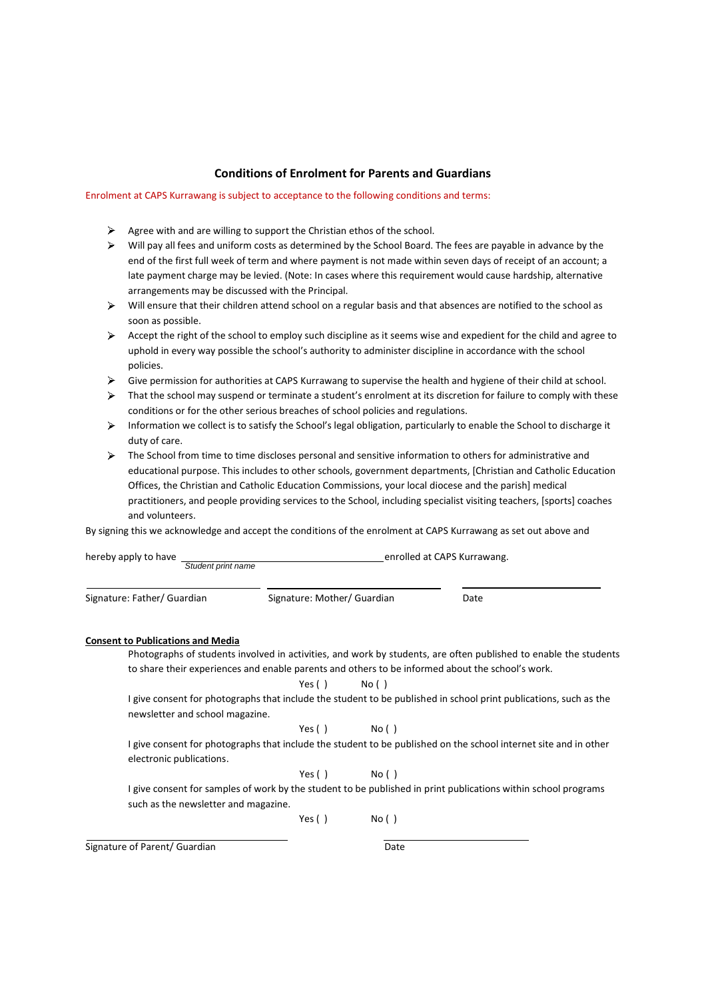### **Conditions of Enrolment for Parents and Guardians**

#### Enrolment at CAPS Kurrawang is subject to acceptance to the following conditions and terms:

- $\triangleright$  Agree with and are willing to support the Christian ethos of the school.
- Will pay all fees and uniform costs as determined by the School Board. The fees are payable in advance by the end of the first full week of term and where payment is not made within seven days of receipt of an account; a late payment charge may be levied. (Note: In cases where this requirement would cause hardship, alternative arrangements may be discussed with the Principal.
- $\blacktriangleright$ Will ensure that their children attend school on a regular basis and that absences are notified to the school as soon as possible.
- $\triangleright$  Accept the right of the school to employ such discipline as it seems wise and expedient for the child and agree to uphold in every way possible the school's authority to administer discipline in accordance with the school policies.
- $\triangleright$  Give permission for authorities at CAPS Kurrawang to supervise the health and hygiene of their child at school.
- $\triangleright$  That the school may suspend or terminate a student's enrolment at its discretion for failure to comply with these conditions or for the other serious breaches of school policies and regulations.
- $\blacktriangleright$ Information we collect is to satisfy the School's legal obligation, particularly to enable the School to discharge it duty of care.
- $\triangleright$  The School from time to time discloses personal and sensitive information to others for administrative and educational purpose. This includes to other schools, government departments, [Christian and Catholic Education Offices, the Christian and Catholic Education Commissions, your local diocese and the parish] medical practitioners, and people providing services to the School, including specialist visiting teachers, [sports] coaches and volunteers.

By signing this we acknowledge and accept the conditions of the enrolment at CAPS Kurrawang as set out above and

| hereby apply to have<br>Student print name |                             |        | enrolled at CAPS Kurrawang.                                                                                       |  |
|--------------------------------------------|-----------------------------|--------|-------------------------------------------------------------------------------------------------------------------|--|
| Signature: Father/ Guardian                | Signature: Mother/ Guardian |        | Date                                                                                                              |  |
| <b>Consent to Publications and Media</b>   |                             |        |                                                                                                                   |  |
|                                            |                             |        | Photographs of students involved in activities, and work by students, are often published to enable the students  |  |
|                                            |                             |        | to share their experiences and enable parents and others to be informed about the school's work.                  |  |
|                                            | Yes ()                      | No ( ) |                                                                                                                   |  |
|                                            |                             |        | I give consent for photographs that include the student to be published in school print publications, such as the |  |
| newsletter and school magazine.            |                             |        |                                                                                                                   |  |
|                                            | Yes ()                      | No()   |                                                                                                                   |  |
|                                            |                             |        | I give consent for photographs that include the student to be published on the school internet site and in other  |  |
| electronic publications.                   |                             |        |                                                                                                                   |  |
|                                            | Yes $( )$                   | No()   |                                                                                                                   |  |
|                                            |                             |        | I give consent for samples of work by the student to be published in print publications within school programs    |  |
| such as the newsletter and magazine.       |                             |        |                                                                                                                   |  |
|                                            | Yes $( )$                   | No()   |                                                                                                                   |  |
|                                            |                             |        |                                                                                                                   |  |
| Signature of Parent/ Guardian              |                             | Date   |                                                                                                                   |  |
|                                            |                             |        |                                                                                                                   |  |
|                                            |                             |        |                                                                                                                   |  |
|                                            |                             |        |                                                                                                                   |  |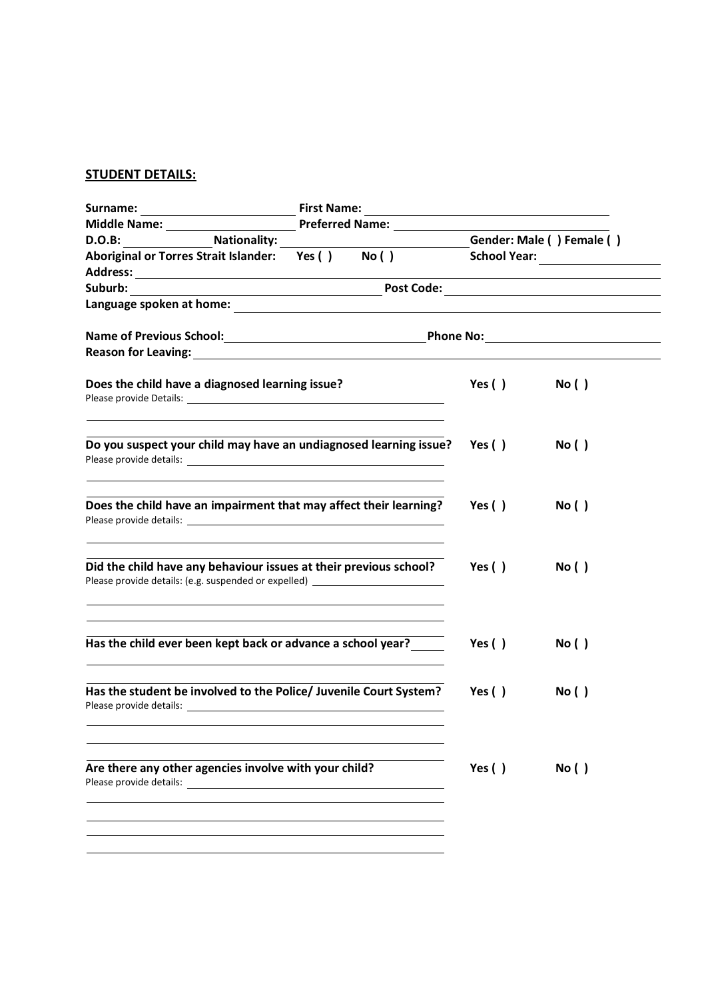# **STUDENT DETAILS:**

|                                                                                                                                                       |  | Gender: Male () Female () |      |
|-------------------------------------------------------------------------------------------------------------------------------------------------------|--|---------------------------|------|
| D.O.B: Nationality: Nationality: Aboriginal or Torres Strait Islander: Yes () No ()                                                                   |  |                           |      |
|                                                                                                                                                       |  |                           |      |
|                                                                                                                                                       |  |                           |      |
|                                                                                                                                                       |  |                           |      |
|                                                                                                                                                       |  |                           |      |
|                                                                                                                                                       |  |                           |      |
| Does the child have a diagnosed learning issue?                                                                                                       |  | Yes $( )$                 | No() |
| Do you suspect your child may have an undiagnosed learning issue?                                                                                     |  | Yes ( )                   | No() |
| Does the child have an impairment that may affect their learning?                                                                                     |  | Yes ( )                   | No() |
| Did the child have any behaviour issues at their previous school?<br>Please provide details: (e.g. suspended or expelled) ___________________________ |  | Yes ( )                   | No() |
| <u> 1989 - Johann Stoff, amerikansk politiker (* 1908)</u><br>Has the child ever been kept back or advance a school year?                             |  | Yes $( )$                 | No() |
| Has the student be involved to the Police/ Juvenile Court System?                                                                                     |  | Yes ( )                   | No() |
| Are there any other agencies involve with your child?<br>Please provide details:                                                                      |  | Yes $()$                  | No() |
|                                                                                                                                                       |  |                           |      |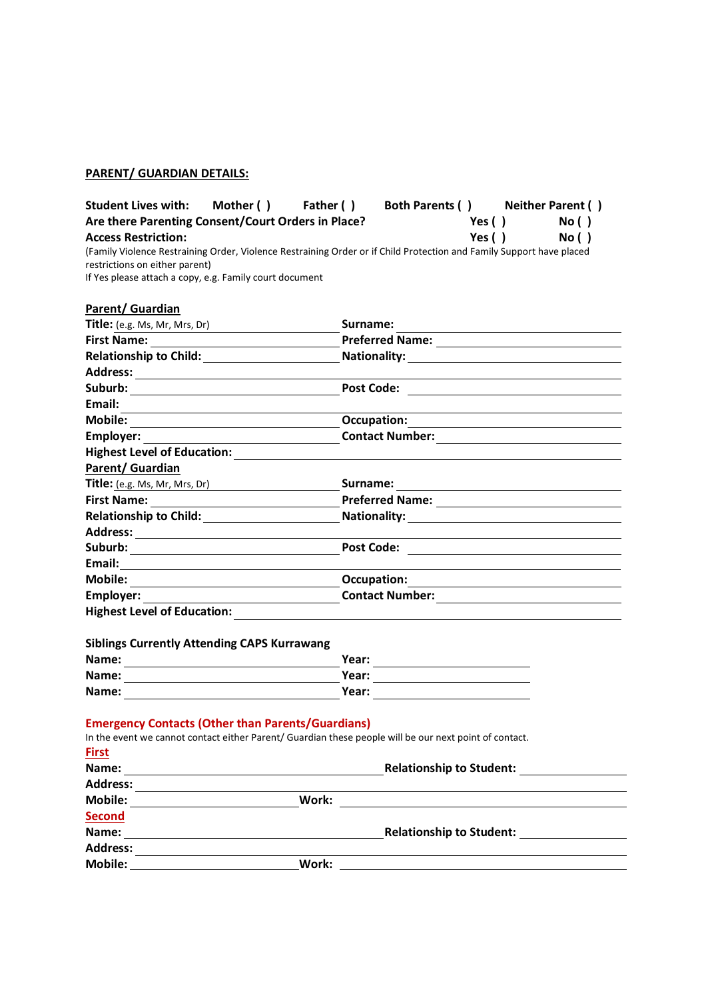### **PARENT/ GUARDIAN DETAILS:**

Student Lives with: Mother () Father () Both Parents () Neither Parent () Are there Parenting Consent/Court Orders in Place? Yes () No () <br>Access Restriction: Yes () No () Access Restriction: Yes ( ) (Family Violence Restraining Order, Violence Restraining Order or if Child Protection and Family Support have placed restrictions on either parent) If Yes please attach a copy, e.g. Family court document

| Parent/ Guardian                                                                                                                                                   |                                                          |
|--------------------------------------------------------------------------------------------------------------------------------------------------------------------|----------------------------------------------------------|
| Title: (e.g. Ms, Mr, Mrs, Dr)                                                                                                                                      | Surname:                                                 |
|                                                                                                                                                                    |                                                          |
|                                                                                                                                                                    |                                                          |
|                                                                                                                                                                    |                                                          |
|                                                                                                                                                                    |                                                          |
| Email:                                                                                                                                                             |                                                          |
|                                                                                                                                                                    | <b>Occupation:</b>                                       |
|                                                                                                                                                                    |                                                          |
| Highest Level of Education: Notified that the state of the state of the state of the state of the state of the                                                     |                                                          |
| Parent/ Guardian                                                                                                                                                   |                                                          |
| Title: (e.g. Ms, Mr, Mrs, Dr)                                                                                                                                      |                                                          |
|                                                                                                                                                                    |                                                          |
|                                                                                                                                                                    | Relationship to Child: Nationality: Nationality:         |
|                                                                                                                                                                    |                                                          |
|                                                                                                                                                                    |                                                          |
|                                                                                                                                                                    |                                                          |
|                                                                                                                                                                    |                                                          |
| <b>Employer:</b><br><u> 1999 - Johann Barbara, martin d</u>                                                                                                        |                                                          |
| <b>Highest Level of Education:</b>                                                                                                                                 |                                                          |
| <b>Siblings Currently Attending CAPS Kurrawang</b>                                                                                                                 |                                                          |
| Name:                                                                                                                                                              | Year:                                                    |
|                                                                                                                                                                    |                                                          |
|                                                                                                                                                                    |                                                          |
| <b>Emergency Contacts (Other than Parents/Guardians)</b><br>In the event we cannot contact either Parent/ Guardian these people will be our next point of contact. |                                                          |
| <b>First</b>                                                                                                                                                       |                                                          |
|                                                                                                                                                                    | <b>Relationship to Student:</b>                          |
|                                                                                                                                                                    |                                                          |
|                                                                                                                                                                    |                                                          |
| <b>Second</b>                                                                                                                                                      |                                                          |
|                                                                                                                                                                    | <b>Relationship to Student:</b> Nelationship to Student: |
| <b>Address:</b>                                                                                                                                                    |                                                          |
| Work:<br>Mobile:                                                                                                                                                   |                                                          |